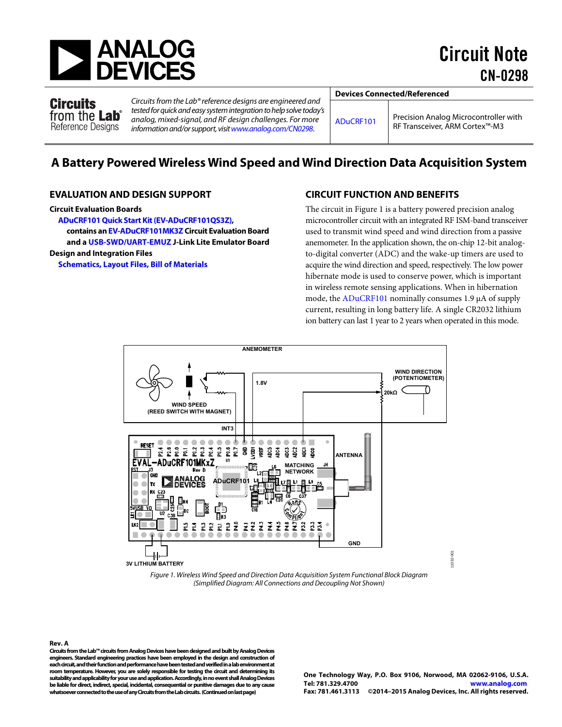

Circuits from the Lab<sup>®</sup> Reference Designs

Circuits from the Lab® reference designs are engineered and tested for quick and easy system integration to help solve today's analog, mixed-signal, and RF design challenges. For more information and/or support, visi[t www.analog.com/CN0298](http://www.analog.com/CN0298?doc=CN0298.pdf).

**Devices Connected/Referenced** 

[ADuCRF101](http://www.analog.com/ADuCRF101?doc=CN0298.pdf) Precision Analog Microcontroller with RF Transceiver, ARM Cortex™-M3

# **A Battery Powered Wireless Wind Speed and Wind Direction Data Acquisition System**

#### **EVALUATION AND DESIGN SUPPORT**

#### **Circuit Evaluation Boards**

**[ADuCRF101 Quick Start Kit \(EV-ADuCRF101QS3Z\),](http://www.analog.com/EV-ADuCRF101QS3Z?doc=CN0298.pdf)  contains a[n EV-ADuCRF101MK3Z C](http://www.analog.com/EV-ADuCRF101QS3Z?doc=CN0298.pdf)ircuit Evaluation Board and [a USB-SWD/UART-EMUZ J](http://www.analog.com/EV-ADuCRF101QS3Z?doc=CN0298.pdf)-Link Lite Emulator Board Design and Integration Files** 

**[Schematics, Layout Files, Bill of Materials](http://www.analog.com/CN0298-DesignSupport?doc=CN0298.pdf)**

#### **CIRCUIT FUNCTION AND BENEFITS**

The circuit i[n Figure 1 i](#page-0-0)s a battery powered precision analog microcontroller circuit with an integrated RF ISM-band transceiver used to transmit wind speed and wind direction from a passive anemometer. In the application shown, the on-chip 12-bit analogto-digital converter (ADC) and the wake-up timers are used to acquire the wind direction and speed, respectively. The low power hibernate mode is used to conserve power, which is important in wireless remote sensing applications. When in hibernation mode, the [ADuCRF101 n](http://www.analog.com/ADuCRF101?doc=CN0298.pdf)ominally consumes 1.9 μA of supply current, resulting in long battery life. A single CR2032 lithium ion battery can last 1 year to 2 years when operated in this mode.



Figure 1. Wireless Wind Speed and Direction Data Acquisition System Functional Block Diagram (Simplified Diagram: All Connections and Decoupling Not Shown)

<span id="page-0-0"></span>**Rev. A Circuits from the Lab™ circuits from Analog Devices have been designed and built by Analog Devices engineers. Standard engineering practices have been employed in the design and construction of each circuit, and their function and performance have been tested and verified in a lab environment at room temperature. However, you are solely responsible for testing the circuit and determining its suitability and applicability for your use and application. Accordingly, in no event shall Analog Devices be liable for direct, indirect, special, incidental, consequential or punitive damages due to any cause whatsoever connected to the use of any Circuits from the Lab circuits. (Continued on last page)** 

11032-001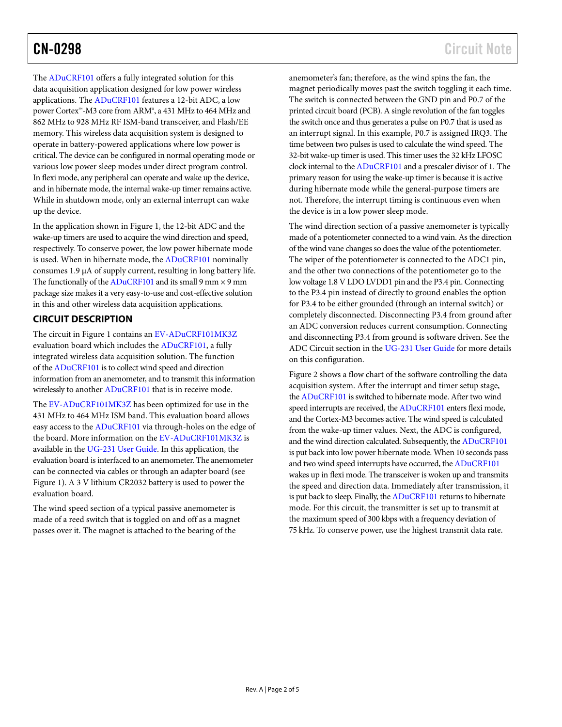The [ADuCRF101](http://www.analog.com/ADuCRF101?doc=CN0298.pdf) offers a fully integrated solution for this data acquisition application designed for low power wireless applications. The [ADuCRF101](http://www.analog.com/ADuCRF101?doc=CN0298.pdf) features a 12-bit ADC, a low power Cortex™-M3 core from ARM®, a 431 MHz to 464 MHz and 862 MHz to 928 MHz RF ISM-band transceiver, and Flash/EE memory. This wireless data acquisition system is designed to operate in battery-powered applications where low power is critical. The device can be configured in normal operating mode or various low power sleep modes under direct program control. In flexi mode, any peripheral can operate and wake up the device, and in hibernate mode, the internal wake-up timer remains active. While in shutdown mode, only an external interrupt can wake up the device.

In the application shown in [Figure 1,](#page-0-0) the 12-bit ADC and the wake-up timers are used to acquire the wind direction and speed, respectively. To conserve power, the low power hibernate mode is used. When in hibernate mode, the [ADuCRF101](http://www.analog.com/ADuCRF101?doc=CN0298.pdf) nominally consumes 1.9 µA of supply current, resulting in long battery life. The functionally of the  $ADuCRF101$  and its small 9 mm  $\times$  9 mm package size makes it a very easy-to-use and cost-effective solution in this and other wireless data acquisition applications.

### **CIRCUIT DESCRIPTION**

The circuit i[n Figure 1](#page-0-0) contains a[n EV-ADuCRF101MK3Z](http://www.analog.com/EV-ADuCRF101QS3Z?doc=CN0298.pdf) evaluation board which includes th[e ADuCRF101,](http://www.analog.com/ADuCRF101?doc=CN0298.pdf) a fully integrated wireless data acquisition solution. The function of th[e ADuCRF101](http://www.analog.com/ADuCRF101?doc=CN0298.pdf) is to collect wind speed and direction information from an anemometer, and to transmit this information wirelessly to anothe[r ADuCRF101](http://www.analog.com/ADuCRF101?doc=CN0298.pdf) that is in receive mode.

The [EV-ADuCRF101MK3Z](http://www.analog.com/EV-ADuCRF101QS3Z?doc=CN0298.pdf) has been optimized for use in the 431 MHz to 464 MHz ISM band. This evaluation board allows easy access to th[e ADuCRF101](http://www.analog.com/ADuCRF101?doc=CN0298.pdf) via through-holes on the edge of the board. More information on th[e EV-ADuCRF101MK3Z](http://www.analog.com/EV-ADuCRF101QS3Z?doc=CN0298.pdf) is available in the [UG-231 User Guide.](http://www.analog.com/UG-231?doc=CN0298.pdf) In this application, the evaluation board is interfaced to an anemometer. The anemometer can be connected via cables or through an adapter board (see [Figure 1\)](#page-0-0). A 3 V lithium CR2032 battery is used to power the evaluation board.

The wind speed section of a typical passive anemometer is made of a reed switch that is toggled on and off as a magnet passes over it. The magnet is attached to the bearing of the

anemometer's fan; therefore, as the wind spins the fan, the magnet periodically moves past the switch toggling it each time. The switch is connected between the GND pin and P0.7 of the printed circuit board (PCB). A single revolution of the fan toggles the switch once and thus generates a pulse on P0.7 that is used as an interrupt signal. In this example, P0.7 is assigned IRQ3. The time between two pulses is used to calculate the wind speed. The 32-bit wake-up timer is used. This timer uses the 32 kHz LFOSC clock internal to th[e ADuCRF101](http://www.analog.com/ADuCRF101?doc=CN0298.pdf) and a prescaler divisor of 1. The primary reason for using the wake-up timer is because it is active during hibernate mode while the general-purpose timers are not. Therefore, the interrupt timing is continuous even when the device is in a low power sleep mode.

The wind direction section of a passive anemometer is typically made of a potentiometer connected to a wind vain. As the direction of the wind vane changes so does the value of the potentiometer. The wiper of the potentiometer is connected to the ADC1 pin, and the other two connections of the potentiometer go to the low voltage 1.8 V LDO LVDD1 pin and the P3.4 pin. Connecting to the P3.4 pin instead of directly to ground enables the option for P3.4 to be either grounded (through an internal switch) or completely disconnected. Disconnecting P3.4 from ground after an ADC conversion reduces current consumption. Connecting and disconnecting P3.4 from ground is software driven. See the ADC Circuit section in th[e UG-231 User Guide](http://www.analog.com/UG-231?doc=CN0298.pdf) for more details on this configuration.

[Figure 2](#page-2-0) shows a flow chart of the software controlling the data acquisition system. After the interrupt and timer setup stage, th[e ADuCRF101](http://www.analog.com/ADuCRF101?doc=CN0298.pdf) is switched to hibernate mode. After two wind speed interrupts are received, th[e ADuCRF101](http://www.analog.com/ADuCRF101?doc=CN0298.pdf) enters flexi mode, and the Cortex-M3 becomes active. The wind speed is calculated from the wake-up timer values. Next, the ADC is configured, and the wind direction calculated. Subsequently, th[e ADuCRF101](http://www.analog.com/ADuCRF101?doc=CN0298.pdf) is put back into low power hibernate mode. When 10 seconds pass and two wind speed interrupts have occurred, th[e ADuCRF101](http://www.analog.com/ADuCRF101?doc=CN0298.pdf) wakes up in flexi mode. The transceiver is woken up and transmits the speed and direction data. Immediately after transmission, it is put back to sleep. Finally, th[e ADuCRF101](http://www.analog.com/ADuCRF101?doc=CN0298.pdf) returns to hibernate mode. For this circuit, the transmitter is set up to transmit at the maximum speed of 300 kbps with a frequency deviation of 75 kHz. To conserve power, use the highest transmit data rate.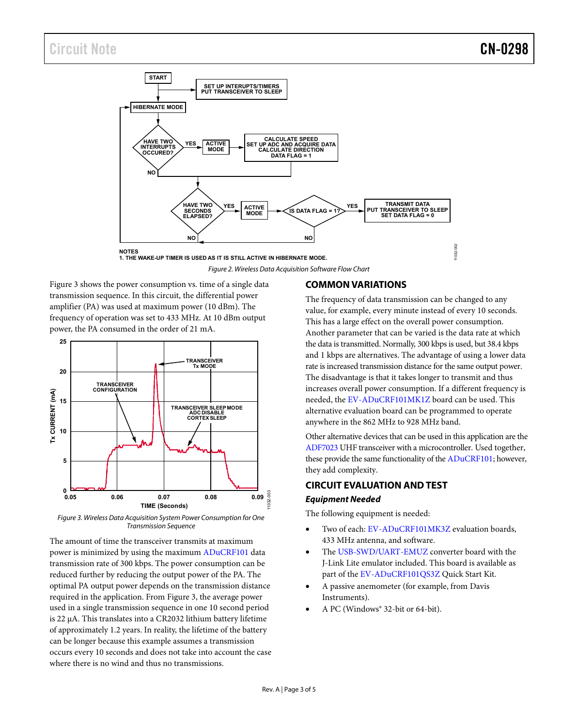

*Figure 2. Wireless Data Acquisition Software Flow Chart*

<span id="page-2-0"></span>[Figure 3](#page-2-1) shows the power consumption vs. time of a single data transmission sequence. In this circuit, the differential power amplifier (PA) was used at maximum power (10 dBm). The frequency of operation was set to 433 MHz. At 10 dBm output power, the PA consumed in the order of 21 mA.



<span id="page-2-1"></span>*Figure 3. Wireless Data Acquisition System Power Consumption for One Transmission Sequence*

The amount of time the transceiver transmits at maximum power is minimized by using the maximu[m ADuCRF101](http://www.analog.com/ADuCRF101?doc=CN0298.pdf) data transmission rate of 300 kbps. The power consumption can be reduced further by reducing the output power of the PA. The optimal PA output power depends on the transmission distance required in the application. From [Figure 3,](#page-2-1) the average power used in a single transmission sequence in one 10 second period is 22 µA. This translates into a CR2032 lithium battery lifetime of approximately 1.2 years. In reality, the lifetime of the battery can be longer because this example assumes a transmission occurs every 10 seconds and does not take into account the case where there is no wind and thus no transmissions.

#### **COMMON VARIATIONS**

The frequency of data transmission can be changed to any value, for example, every minute instead of every 10 seconds. This has a large effect on the overall power consumption. Another parameter that can be varied is the data rate at which the data is transmitted. Normally, 300 kbps is used, but 38.4 kbps and 1 kbps are alternatives. The advantage of using a lower data rate is increased transmission distance for the same output power. The disadvantage is that it takes longer to transmit and thus increases overall power consumption. If a different frequency is needed, the [EV-ADuCRF101MK1Z](http://www.analog.com/EV-ADuCRF101QS3Z?doc=CN0298.pdf) board can be used. This alternative evaluation board can be programmed to operate anywhere in the 862 MHz to 928 MHz band.

Other alternative devices that can be used in this application are the [ADF7023](http://www.analog.com/ADF7023?doc=CN0298.pdf) UHF transceiver with a microcontroller. Used together, these provide the same functionality of the [ADuCRF101;](http://www.analog.com/ADuCRF101?doc=CN0298.pdf) however, they add complexity.

## **CIRCUIT EVALUATION AND TEST** *Equipment Needed*

The following equipment is needed:

- Two of each: [EV-ADuCRF101MK3Z](http://www.analog.com/EV-ADuCRF101QS3Z?doc=CN0298.pdf) evaluation boards, 433 MHz antenna, and software.
- The [USB-SWD/UART-EMUZ](http://www.analog.com/EV-ADuCRF101QS3Z?doc=CN0298.pdf) converter board with the J-Link Lite emulator included. This board is available as part of th[e EV-ADuCRF101QS3Z](http://www.analog.com/EV-ADuCRF101QS3Z?doc=CN0298.pdf) Quick Start Kit.
- A passive anemometer (for example, from Davis Instruments).
- A PC (Windows® 32-bit or 64-bit).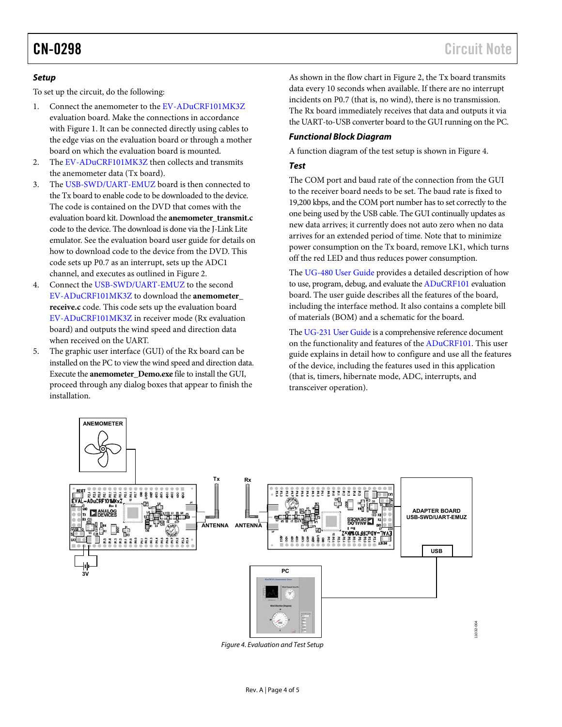#### **Setup**

To set up the circuit, do the following:

- 1. Connect the anemometer to the [EV-ADuCRF101MK3Z](http://www.analog.com/EV-ADuCRF101QS3Z?doc=CN0298.pdf) evaluation board. Make the connections in accordance with [Figure 1.](#page-0-0) It can be connected directly using cables to the edge vias on the evaluation board or through a mother board on which the evaluation board is mounted.
- 2. The [EV-ADuCRF101MK3Z](http://www.analog.com/EV-ADuCRF101QS3Z?doc=CN0298.pdf) then collects and transmits the anemometer data (Tx board).
- 3. The [USB-SWD/UART-EMUZ b](http://www.analog.com/EV-ADuCRF101QS3Z?doc=CN0298.pdf)oard is then connected to the Tx board to enable code to be downloaded to the device. The code is contained on the DVD that comes with the evaluation board kit. Download the **anemometer\_transmit.c** code to the device. The download is done via the J-Link Lite emulator. See the evaluation board user guide for details on how to download code to the device from the DVD. This code sets up P0.7 as an interrupt, sets up the ADC1 channel, and executes as outlined i[n Figure 2.](#page-2-0)
- 4. Connect the [USB-SWD/UART-EMUZ t](http://www.analog.com/EV-ADuCRF101QS3Z?doc=CN0298.pdf)o the second [EV-ADuCRF101MK3Z](http://www.analog.com/EV-ADuCRF101QS3Z?doc=CN0298.pdf) to download the **anemometer\_ receive.c** code. This code sets up the evaluation board [EV-ADuCRF101MK3Z](http://www.analog.com/EV-ADuCRF101QS3Z?doc=CN0298.pdf) in receiver mode (Rx evaluation board) and outputs the wind speed and direction data when received on the UART.
- 5. The graphic user interface (GUI) of the Rx board can be installed on the PC to view the wind speed and direction data. Execute the **anemometer\_Demo.exe** file to install the GUI, proceed through any dialog boxes that appear to finish the installation.

As shown in the flow chart i[n Figure 2,](#page-2-0) the Tx board transmits data every 10 seconds when available. If there are no interrupt incidents on P0.7 (that is, no wind), there is no transmission. The Rx board immediately receives that data and outputs it via the UART-to-USB converter board to the GUI running on the PC.

#### **Functional Block Diagram**

A function diagram of the test setup is shown in [Figure 4.](#page-3-0)

#### **Test**

The COM port and baud rate of the connection from the GUI to the receiver board needs to be set. The baud rate is fixed to 19,200 kbps, and the COM port number has to set correctly to the one being used by the USB cable. The GUI continually updates as new data arrives; it currently does not auto zero when no data arrives for an extended period of time. Note that to minimize power consumption on the Tx board, remove LK1, which turns off the red LED and thus reduces power consumption.

The [UG-480 User Guide](http://www.analog.com/UG-480?doc=CN0298.pdf) provides a detailed description of how to use, program, debug, and evaluate th[e ADuCRF101 e](http://www.analog.com/ADuCRF101?doc=CN0298.pdf)valuation board. The user guide describes all the features of the board, including the interface method. It also contains a complete bill of materials (BOM) and a schematic for the board.

Th[e UG-231 User Guide](http://www.analog.com/UG-231?doc=CN0298.pdf) is a comprehensive reference document on the functionality and features of th[e ADuCRF101.](http://www.analog.com/ADuCRF101?doc=CN0298.pdf) This user guide explains in detail how to configure and use all the features of the device, including the features used in this application (that is, timers, hibernate mode, ADC, interrupts, and transceiver operation).



<span id="page-3-0"></span>Figure 4. Evaluation and Test Setup